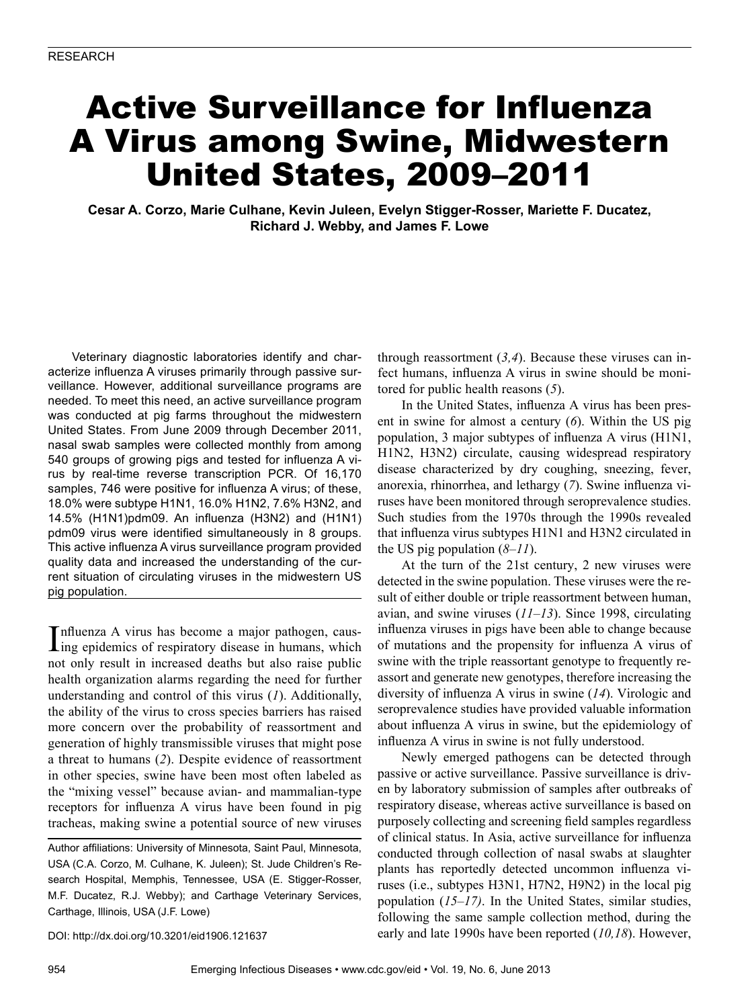# Active Surveillance for Influenza A Virus among Swine, Midwestern United States, 2009–2011

**Cesar A. Corzo, Marie Culhane, Kevin Juleen, Evelyn Stigger-Rosser, Mariette F. Ducatez, Richard J. Webby, and James F. Lowe**

Veterinary diagnostic laboratories identify and characterize influenza A viruses primarily through passive surveillance. However, additional surveillance programs are needed. To meet this need, an active surveillance program was conducted at pig farms throughout the midwestern United States. From June 2009 through December 2011, nasal swab samples were collected monthly from among 540 groups of growing pigs and tested for influenza A virus by real-time reverse transcription PCR. Of 16,170 samples, 746 were positive for influenza A virus; of these, 18.0% were subtype H1N1, 16.0% H1N2, 7.6% H3N2, and 14.5% (H1N1)pdm09. An influenza (H3N2) and (H1N1) pdm09 virus were identified simultaneously in 8 groups. This active influenza A virus surveillance program provided quality data and increased the understanding of the current situation of circulating viruses in the midwestern US pig population.

Influenza A virus has become a major pathogen, causing epidemics of respiratory disease in humans, which nfluenza A virus has become a major pathogen, causnot only result in increased deaths but also raise public health organization alarms regarding the need for further understanding and control of this virus (*1*). Additionally, the ability of the virus to cross species barriers has raised more concern over the probability of reassortment and generation of highly transmissible viruses that might pose a threat to humans (*2*). Despite evidence of reassortment in other species, swine have been most often labeled as the "mixing vessel" because avian- and mammalian-type receptors for influenza A virus have been found in pig tracheas, making swine a potential source of new viruses

Author affiliations: University of Minnesota, Saint Paul, Minnesota, USA (C.A. Corzo, M. Culhane, K. Juleen); St. Jude Children's Research Hospital, Memphis, Tennessee, USA (E. Stigger-Rosser, M.F. Ducatez, R.J. Webby); and Carthage Veterinary Services, Carthage, Illinois, USA (J.F. Lowe)

DOI: http://dx.doi.org/10.3201/eid1906.121637

through reassortment (*3,4*). Because these viruses can infect humans, influenza A virus in swine should be monitored for public health reasons (*5*).

In the United States, influenza A virus has been present in swine for almost a century (*6*). Within the US pig population, 3 major subtypes of influenza A virus (H1N1, H1N2, H3N2) circulate, causing widespread respiratory disease characterized by dry coughing, sneezing, fever, anorexia, rhinorrhea, and lethargy (*7*). Swine influenza viruses have been monitored through seroprevalence studies. Such studies from the 1970s through the 1990s revealed that influenza virus subtypes H1N1 and H3N2 circulated in the US pig population (*8–11*).

At the turn of the 21st century, 2 new viruses were detected in the swine population. These viruses were the result of either double or triple reassortment between human, avian, and swine viruses (*11–13*). Since 1998, circulating influenza viruses in pigs have been able to change because of mutations and the propensity for influenza A virus of swine with the triple reassortant genotype to frequently reassort and generate new genotypes, therefore increasing the diversity of influenza A virus in swine (*14*). Virologic and seroprevalence studies have provided valuable information about influenza A virus in swine, but the epidemiology of influenza A virus in swine is not fully understood.

Newly emerged pathogens can be detected through passive or active surveillance. Passive surveillance is driven by laboratory submission of samples after outbreaks of respiratory disease, whereas active surveillance is based on purposely collecting and screening field samples regardless of clinical status. In Asia, active surveillance for influenza conducted through collection of nasal swabs at slaughter plants has reportedly detected uncommon influenza viruses (i.e., subtypes H3N1, H7N2, H9N2) in the local pig population (*15–17)*. In the United States, similar studies, following the same sample collection method, during the early and late 1990s have been reported (*10,18*). However,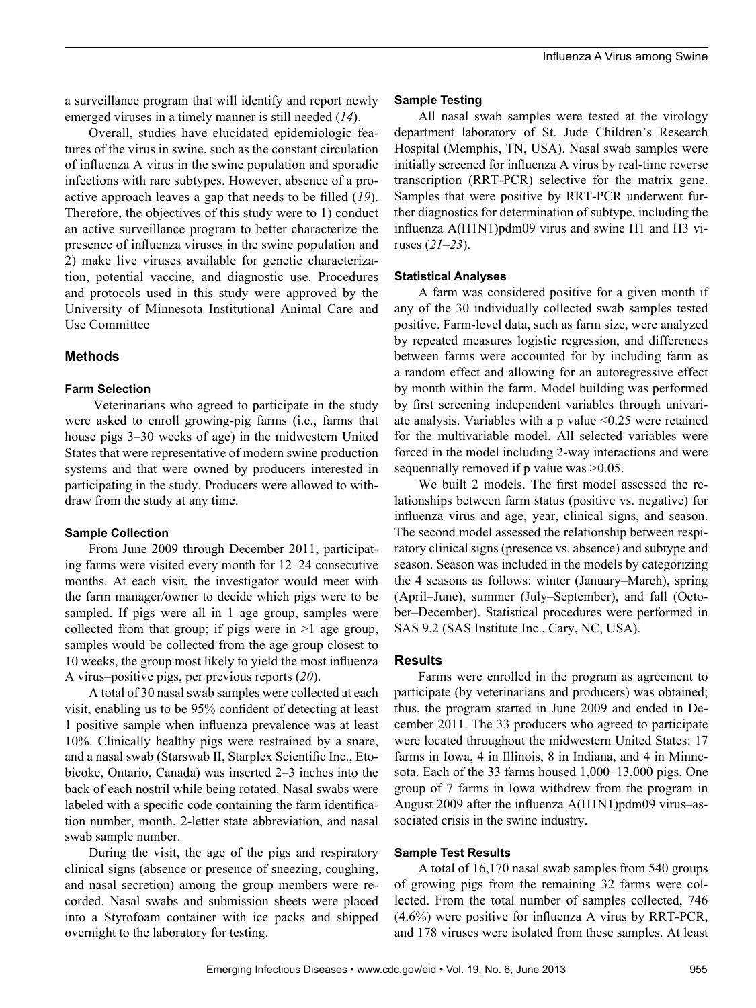a surveillance program that will identify and report newly emerged viruses in a timely manner is still needed (*14*).

Overall, studies have elucidated epidemiologic features of the virus in swine, such as the constant circulation of influenza A virus in the swine population and sporadic infections with rare subtypes. However, absence of a proactive approach leaves a gap that needs to be filled (*19*). Therefore, the objectives of this study were to 1) conduct an active surveillance program to better characterize the presence of influenza viruses in the swine population and 2) make live viruses available for genetic characterization, potential vaccine, and diagnostic use. Procedures and protocols used in this study were approved by the University of Minnesota Institutional Animal Care and Use Committee

# **Methods**

# **Farm Selection**

 Veterinarians who agreed to participate in the study were asked to enroll growing-pig farms (i.e., farms that house pigs 3–30 weeks of age) in the midwestern United States that were representative of modern swine production systems and that were owned by producers interested in participating in the study. Producers were allowed to withdraw from the study at any time.

# **Sample Collection**

From June 2009 through December 2011, participating farms were visited every month for 12–24 consecutive months. At each visit, the investigator would meet with the farm manager/owner to decide which pigs were to be sampled. If pigs were all in 1 age group, samples were collected from that group; if pigs were in  $>1$  age group, samples would be collected from the age group closest to 10 weeks, the group most likely to yield the most influenza A virus–positive pigs, per previous reports (*20*).

A total of 30 nasal swab samples were collected at each visit, enabling us to be 95% confident of detecting at least 1 positive sample when influenza prevalence was at least 10%. Clinically healthy pigs were restrained by a snare, and a nasal swab (Starswab II, Starplex Scientific Inc., Etobicoke, Ontario, Canada) was inserted 2–3 inches into the back of each nostril while being rotated. Nasal swabs were labeled with a specific code containing the farm identification number, month, 2-letter state abbreviation, and nasal swab sample number.

During the visit, the age of the pigs and respiratory clinical signs (absence or presence of sneezing, coughing, and nasal secretion) among the group members were recorded. Nasal swabs and submission sheets were placed into a Styrofoam container with ice packs and shipped overnight to the laboratory for testing.

# **Sample Testing**

All nasal swab samples were tested at the virology department laboratory of St. Jude Children's Research Hospital (Memphis, TN, USA). Nasal swab samples were initially screened for influenza A virus by real-time reverse transcription (RRT-PCR) selective for the matrix gene. Samples that were positive by RRT-PCR underwent further diagnostics for determination of subtype, including the influenza A(H1N1)pdm09 virus and swine H1 and H3 viruses (*21–23*).

# **Statistical Analyses**

A farm was considered positive for a given month if any of the 30 individually collected swab samples tested positive. Farm-level data, such as farm size, were analyzed by repeated measures logistic regression, and differences between farms were accounted for by including farm as a random effect and allowing for an autoregressive effect by month within the farm. Model building was performed by first screening independent variables through univariate analysis. Variables with a p value <0.25 were retained for the multivariable model. All selected variables were forced in the model including 2-way interactions and were sequentially removed if p value was  $>0.05$ .

We built 2 models. The first model assessed the relationships between farm status (positive vs. negative) for influenza virus and age, year, clinical signs, and season. The second model assessed the relationship between respiratory clinical signs (presence vs. absence) and subtype and season. Season was included in the models by categorizing the 4 seasons as follows: winter (January–March), spring (April–June), summer (July–September), and fall (October–December). Statistical procedures were performed in SAS 9.2 (SAS Institute Inc., Cary, NC, USA).

# **Results**

Farms were enrolled in the program as agreement to participate (by veterinarians and producers) was obtained; thus, the program started in June 2009 and ended in December 2011. The 33 producers who agreed to participate were located throughout the midwestern United States: 17 farms in Iowa, 4 in Illinois, 8 in Indiana, and 4 in Minnesota. Each of the 33 farms housed 1,000–13,000 pigs. One group of 7 farms in Iowa withdrew from the program in August 2009 after the influenza A(H1N1)pdm09 virus–associated crisis in the swine industry.

# **Sample Test Results**

A total of 16,170 nasal swab samples from 540 groups of growing pigs from the remaining 32 farms were collected. From the total number of samples collected, 746 (4.6%) were positive for influenza A virus by RRT-PCR, and 178 viruses were isolated from these samples. At least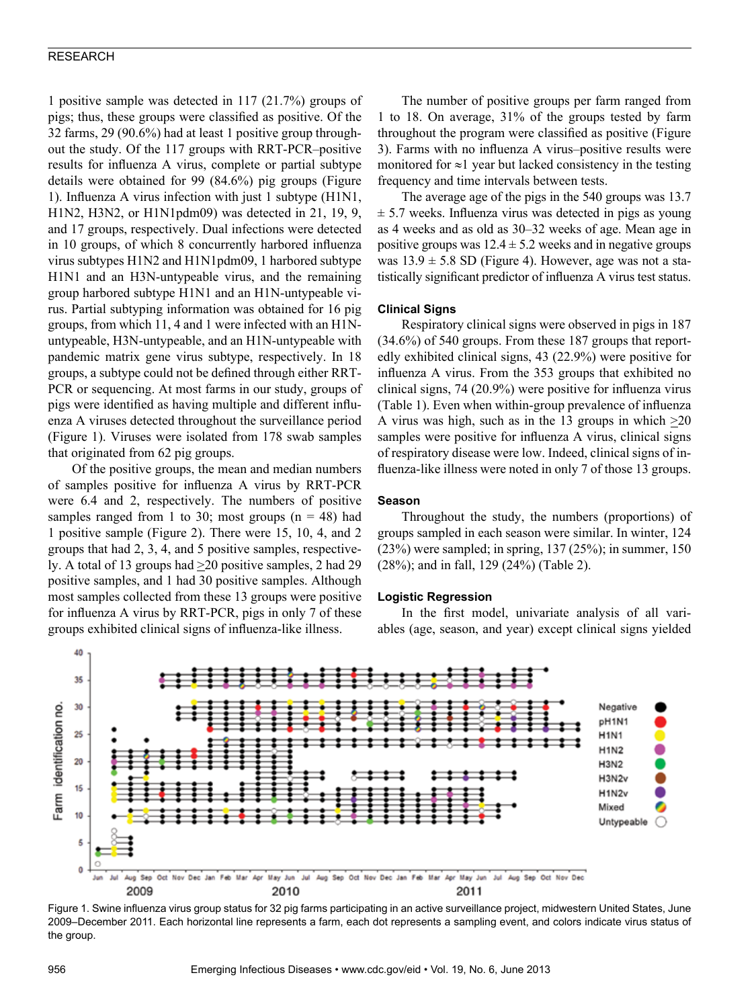## RESEARCH

1 positive sample was detected in 117 (21.7%) groups of pigs; thus, these groups were classified as positive. Of the 32 farms, 29 (90.6%) had at least 1 positive group throughout the study. Of the 117 groups with RRT-PCR–positive results for influenza A virus, complete or partial subtype details were obtained for 99 (84.6%) pig groups (Figure 1). Influenza A virus infection with just 1 subtype (H1N1, H1N2, H3N2, or H1N1pdm09) was detected in 21, 19, 9, and 17 groups, respectively. Dual infections were detected in 10 groups, of which 8 concurrently harbored influenza virus subtypes H1N2 and H1N1pdm09, 1 harbored subtype H1N1 and an H3N-untypeable virus, and the remaining group harbored subtype H1N1 and an H1N-untypeable virus. Partial subtyping information was obtained for 16 pig groups, from which 11, 4 and 1 were infected with an H1Nuntypeable, H3N-untypeable, and an H1N-untypeable with pandemic matrix gene virus subtype, respectively. In 18 groups, a subtype could not be defined through either RRT-PCR or sequencing. At most farms in our study, groups of pigs were identified as having multiple and different influenza A viruses detected throughout the surveillance period (Figure 1). Viruses were isolated from 178 swab samples that originated from 62 pig groups.

Of the positive groups, the mean and median numbers of samples positive for influenza A virus by RRT-PCR were 6.4 and 2, respectively. The numbers of positive samples ranged from 1 to 30; most groups  $(n = 48)$  had 1 positive sample (Figure 2). There were 15, 10, 4, and 2 groups that had 2, 3, 4, and 5 positive samples, respectively. A total of 13 groups had  $\geq$ 20 positive samples, 2 had 29 positive samples, and 1 had 30 positive samples. Although most samples collected from these 13 groups were positive for influenza A virus by RRT-PCR, pigs in only 7 of these groups exhibited clinical signs of influenza-like illness.

The number of positive groups per farm ranged from 1 to 18. On average, 31% of the groups tested by farm throughout the program were classified as positive (Figure 3). Farms with no influenza A virus–positive results were monitored for  $\approx$ 1 year but lacked consistency in the testing frequency and time intervals between tests.

The average age of the pigs in the 540 groups was 13.7  $\pm$  5.7 weeks. Influenza virus was detected in pigs as young as 4 weeks and as old as 30–32 weeks of age. Mean age in positive groups was  $12.4 \pm 5.2$  weeks and in negative groups was  $13.9 \pm 5.8$  SD (Figure 4). However, age was not a statistically significant predictor of influenza A virus test status.

#### **Clinical Signs**

Respiratory clinical signs were observed in pigs in 187 (34.6%) of 540 groups. From these 187 groups that reportedly exhibited clinical signs, 43 (22.9%) were positive for influenza A virus. From the 353 groups that exhibited no clinical signs, 74 (20.9%) were positive for influenza virus (Table 1). Even when within-group prevalence of influenza A virus was high, such as in the 13 groups in which  $\geq 20$ samples were positive for influenza A virus, clinical signs of respiratory disease were low. Indeed, clinical signs of influenza-like illness were noted in only 7 of those 13 groups.

## **Season**

Throughout the study, the numbers (proportions) of groups sampled in each season were similar. In winter, 124 (23%) were sampled; in spring, 137 (25%); in summer, 150 (28%); and in fall, 129 (24%) (Table 2).

#### **Logistic Regression**

In the first model, univariate analysis of all variables (age, season, and year) except clinical signs yielded



Figure 1. Swine influenza virus group status for 32 pig farms participating in an active surveillance project, midwestern United States, June 2009–December 2011. Each horizontal line represents a farm, each dot represents a sampling event, and colors indicate virus status of the group.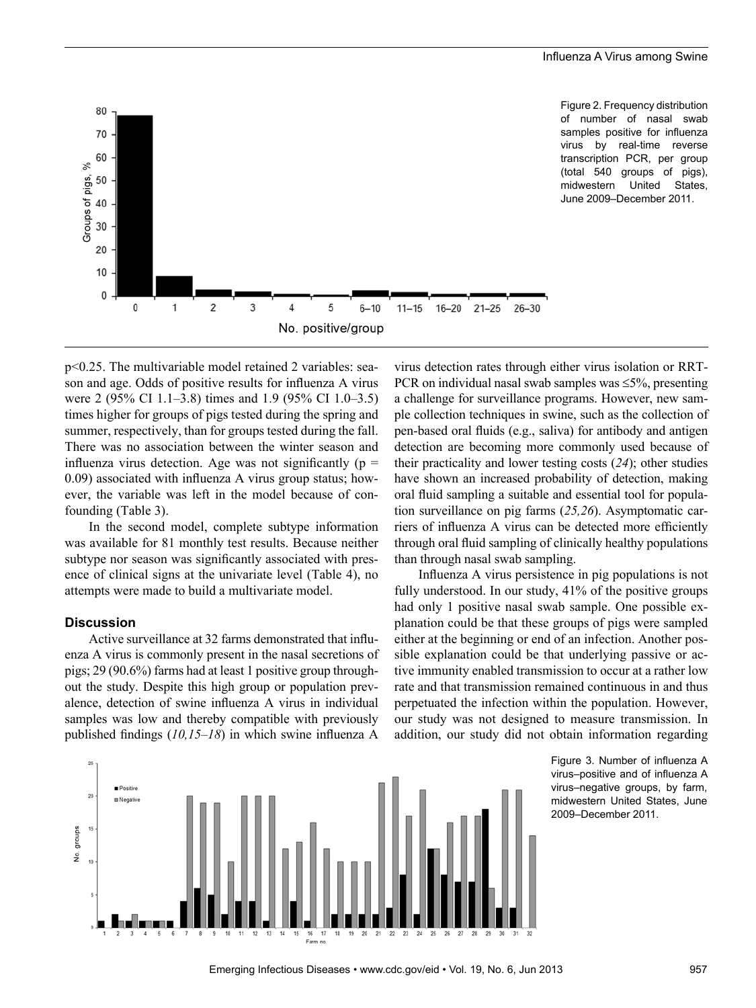

Figure 2. Frequency distribution of number of nasal swab samples positive for influenza virus by real-time reverse transcription PCR, per group (total 540 groups of pigs), midwestern United States, June 2009–December 2011.

p<0.25. The multivariable model retained 2 variables: season and age. Odds of positive results for influenza A virus were 2 (95% CI 1.1–3.8) times and 1.9 (95% CI 1.0–3.5) times higher for groups of pigs tested during the spring and summer, respectively, than for groups tested during the fall. There was no association between the winter season and influenza virus detection. Age was not significantly ( $p =$ 0.09) associated with influenza A virus group status; however, the variable was left in the model because of confounding (Table 3).

In the second model, complete subtype information was available for 81 monthly test results. Because neither subtype nor season was significantly associated with presence of clinical signs at the univariate level (Table 4), no attempts were made to build a multivariate model.

# **Discussion**

Active surveillance at 32 farms demonstrated that influenza A virus is commonly present in the nasal secretions of pigs; 29 (90.6%) farms had at least 1 positive group throughout the study. Despite this high group or population prevalence, detection of swine influenza A virus in individual samples was low and thereby compatible with previously published findings (*10,15–18*) in which swine influenza A

virus detection rates through either virus isolation or RRT-PCR on individual nasal swab samples was ≤5%, presenting a challenge for surveillance programs. However, new sample collection techniques in swine, such as the collection of pen-based oral fluids (e.g., saliva) for antibody and antigen detection are becoming more commonly used because of their practicality and lower testing costs (*24*); other studies have shown an increased probability of detection, making oral fluid sampling a suitable and essential tool for population surveillance on pig farms (*25,26*). Asymptomatic carriers of influenza A virus can be detected more efficiently through oral fluid sampling of clinically healthy populations than through nasal swab sampling.

Influenza A virus persistence in pig populations is not fully understood. In our study, 41% of the positive groups had only 1 positive nasal swab sample. One possible explanation could be that these groups of pigs were sampled either at the beginning or end of an infection. Another possible explanation could be that underlying passive or active immunity enabled transmission to occur at a rather low rate and that transmission remained continuous in and thus perpetuated the infection within the population. However, our study was not designed to measure transmission. In addition, our study did not obtain information regarding



Figure 3. Number of influenza A virus–positive and of influenza A virus–negative groups, by farm, midwestern United States, June 2009–December 2011.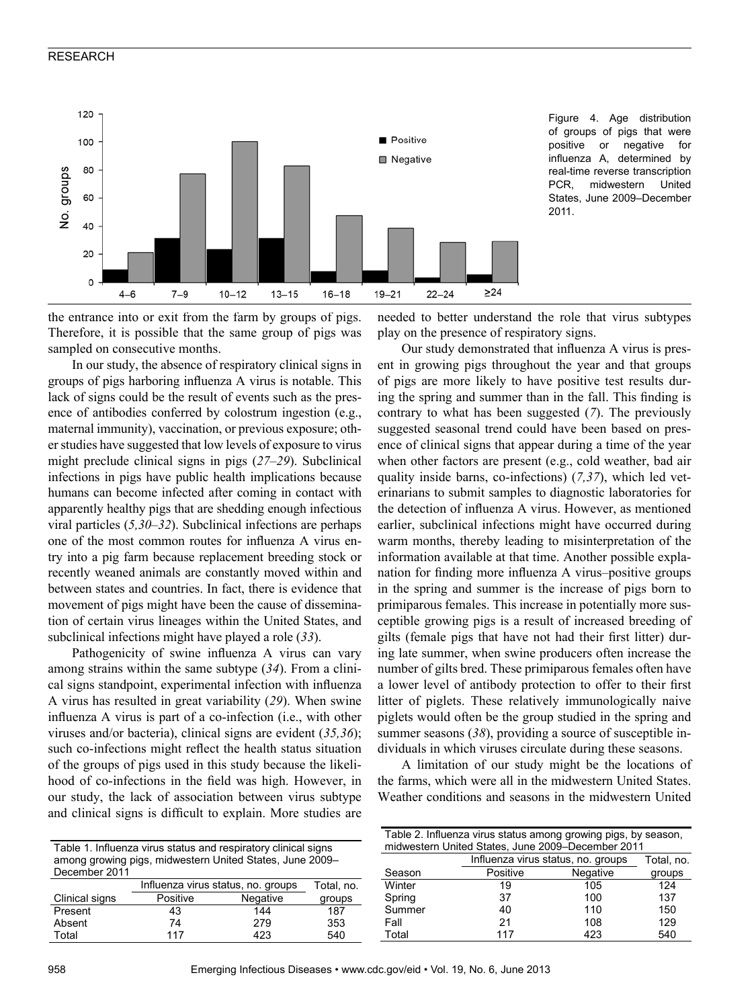## RESEARCH



Figure 4. Age distribution of groups of pigs that were positive or negative for influenza A, determined by real-time reverse transcription PCR, midwestern United States, June 2009–December 2011.

the entrance into or exit from the farm by groups of pigs. Therefore, it is possible that the same group of pigs was sampled on consecutive months.

In our study, the absence of respiratory clinical signs in groups of pigs harboring influenza A virus is notable. This lack of signs could be the result of events such as the presence of antibodies conferred by colostrum ingestion (e.g., maternal immunity), vaccination, or previous exposure; other studies have suggested that low levels of exposure to virus might preclude clinical signs in pigs (*27–29*). Subclinical infections in pigs have public health implications because humans can become infected after coming in contact with apparently healthy pigs that are shedding enough infectious viral particles (*5,30–32*). Subclinical infections are perhaps one of the most common routes for influenza A virus entry into a pig farm because replacement breeding stock or recently weaned animals are constantly moved within and between states and countries. In fact, there is evidence that movement of pigs might have been the cause of dissemination of certain virus lineages within the United States, and subclinical infections might have played a role (*33*).

Pathogenicity of swine influenza A virus can vary among strains within the same subtype (*34*). From a clinical signs standpoint, experimental infection with influenza A virus has resulted in great variability (*29*). When swine influenza A virus is part of a co-infection (i.e., with other viruses and/or bacteria), clinical signs are evident (*35,36*); such co-infections might reflect the health status situation of the groups of pigs used in this study because the likelihood of co-infections in the field was high. However, in our study, the lack of association between virus subtype and clinical signs is difficult to explain. More studies are needed to better understand the role that virus subtypes play on the presence of respiratory signs.

Our study demonstrated that influenza A virus is present in growing pigs throughout the year and that groups of pigs are more likely to have positive test results during the spring and summer than in the fall. This finding is contrary to what has been suggested (*7*). The previously suggested seasonal trend could have been based on presence of clinical signs that appear during a time of the year when other factors are present (e.g., cold weather, bad air quality inside barns, co-infections) (*7,37*), which led veterinarians to submit samples to diagnostic laboratories for the detection of influenza A virus. However, as mentioned earlier, subclinical infections might have occurred during warm months, thereby leading to misinterpretation of the information available at that time. Another possible explanation for finding more influenza A virus–positive groups in the spring and summer is the increase of pigs born to primiparous females. This increase in potentially more susceptible growing pigs is a result of increased breeding of gilts (female pigs that have not had their first litter) during late summer, when swine producers often increase the number of gilts bred. These primiparous females often have a lower level of antibody protection to offer to their first litter of piglets. These relatively immunologically naive piglets would often be the group studied in the spring and summer seasons (38), providing a source of susceptible individuals in which viruses circulate during these seasons.

A limitation of our study might be the locations of the farms, which were all in the midwestern United States. Weather conditions and seasons in the midwestern United

|                                                                |          |                                    |            |                                                   | Table 2. Influenza virus status among growing pigs, by season, |          |            |
|----------------------------------------------------------------|----------|------------------------------------|------------|---------------------------------------------------|----------------------------------------------------------------|----------|------------|
| Table 1. Influenza virus status and respiratory clinical signs |          |                                    |            | midwestern United States, June 2009–December 2011 |                                                                |          |            |
| among growing pigs, midwestern United States, June 2009-       |          |                                    |            |                                                   | Influenza virus status, no. groups                             |          | Total, no. |
| December 2011                                                  |          |                                    |            | Season                                            | Positive                                                       | Negative | groups     |
|                                                                |          | Influenza virus status, no. groups | Total, no. | Winter                                            | 19                                                             | 105      | 124        |
| Clinical signs                                                 | Positive | Negative                           | groups     | Spring                                            | 37                                                             | 100      | 137        |
| Present                                                        | 43       | 144                                | 187        | Summer                                            | 40                                                             | 110      | 150        |
| Absent                                                         | 74       | 279                                | 353        | Fall                                              |                                                                | 108      | 129        |
| Total                                                          | 117      | 423                                | 540        | Total                                             | 117                                                            | 423      | 540        |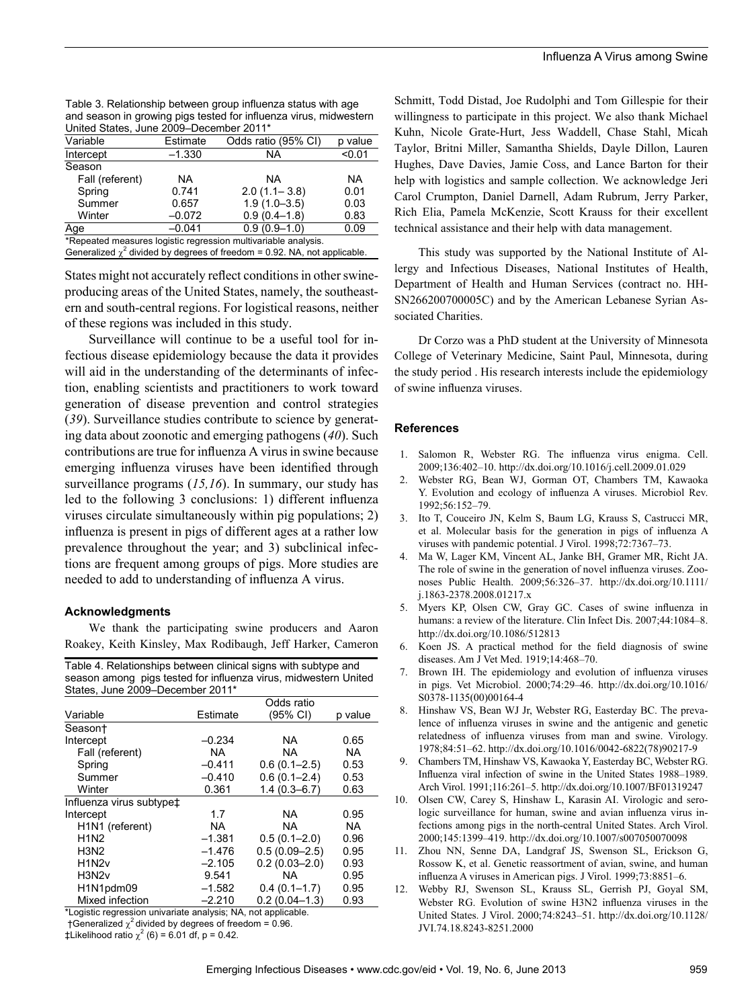| Table 3. Relationship between group influenza status with age     |  |
|-------------------------------------------------------------------|--|
| and season in growing pigs tested for influenza virus, midwestern |  |
| United States. June 2009–December 2011*                           |  |

| Variable                                                                       | Estimate | Odds ratio (95% CI) | p value |  |  |  |
|--------------------------------------------------------------------------------|----------|---------------------|---------|--|--|--|
| Intercept                                                                      | $-1.330$ | NA                  | < 0.01  |  |  |  |
| Season                                                                         |          |                     |         |  |  |  |
| Fall (referent)                                                                | NA       | NA                  | NA.     |  |  |  |
| Spring                                                                         | 0.741    | $2.0(1.1 - 3.8)$    | 0.01    |  |  |  |
| Summer                                                                         | 0.657    | $1.9(1.0 - 3.5)$    | 0.03    |  |  |  |
| Winter                                                                         | $-0.072$ | $0.9(0.4-1.8)$      | 0.83    |  |  |  |
| Age                                                                            | $-0.041$ | $0.9(0.9 - 1.0)$    | 0.09    |  |  |  |
| *Repeated measures logistic regression multivariable analysis.                 |          |                     |         |  |  |  |
| Generalized $\chi^2$ divided by degrees of freedom = 0.92. NA, not applicable. |          |                     |         |  |  |  |

States might not accurately reflect conditions in other swineproducing areas of the United States, namely, the southeastern and south-central regions. For logistical reasons, neither of these regions was included in this study.

Surveillance will continue to be a useful tool for infectious disease epidemiology because the data it provides will aid in the understanding of the determinants of infection, enabling scientists and practitioners to work toward generation of disease prevention and control strategies (*39*). Surveillance studies contribute to science by generating data about zoonotic and emerging pathogens (*40*). Such contributions are true for influenza A virus in swine because emerging influenza viruses have been identified through surveillance programs (*15,16*). In summary, our study has led to the following 3 conclusions: 1) different influenza viruses circulate simultaneously within pig populations; 2) influenza is present in pigs of different ages at a rather low prevalence throughout the year; and 3) subclinical infections are frequent among groups of pigs. More studies are needed to add to understanding of influenza A virus.

## **Acknowledgments**

We thank the participating swine producers and Aaron Roakey, Keith Kinsley, Max Rodibaugh, Jeff Harker, Cameron

Table 4. Relationships between clinical signs with subtype and season among pigs tested for influenza virus, midwestern United States, June 2009–December 2011\*

|                                          |          | Odds ratio        |           |
|------------------------------------------|----------|-------------------|-----------|
| Variable                                 | Estimate | (95% CI)          | p value   |
| Season+                                  |          |                   |           |
| Intercept                                | $-0.234$ | NA.               | 0.65      |
| Fall (referent)                          | NA.      | <b>NA</b>         | <b>NA</b> |
| Spring                                   | $-0.411$ | $0.6(0.1 - 2.5)$  | 0.53      |
| Summer                                   | $-0.410$ | $0.6(0.1 - 2.4)$  | 0.53      |
| Winter                                   | 0.361    | $1.4(0.3-6.7)$    | 0.63      |
| Influenza virus subtype‡                 |          |                   |           |
| Intercept                                | 1.7      | NA.               | 0.95      |
| H <sub>1</sub> N <sub>1</sub> (referent) | NA.      | <b>NA</b>         | <b>NA</b> |
| <b>H1N2</b>                              | $-1.381$ | $0.5(0.1 - 2.0)$  | 0.96      |
| <b>H3N2</b>                              | $-1.476$ | $0.5(0.09 - 2.5)$ | 0.95      |
| H <sub>1</sub> N <sub>2</sub> v          | $-2.105$ | $0.2(0.03 - 2.0)$ | 0.93      |
| H <sub>3</sub> N <sub>2</sub> v          | 9.541    | NA                | 0.95      |
| H1N1pdm09                                | $-1.582$ | $0.4(0.1 - 1.7)$  | 0.95      |
| Mixed infection                          | $-2.210$ | $0.2(0.04 - 1.3)$ | 0.93      |

\*Logistic regression univariate analysis; NA, not applicable.

†Generalized  $\chi^2$  divided by degrees of freedom = 0.96.  $\ddagger$ Likelihood ratio  $\chi^2$  (6) = 6.01 df, p = 0.42.

Schmitt, Todd Distad, Joe Rudolphi and Tom Gillespie for their willingness to participate in this project. We also thank Michael Kuhn, Nicole Grate-Hurt, Jess Waddell, Chase Stahl, Micah Taylor, Britni Miller, Samantha Shields, Dayle Dillon, Lauren Hughes, Dave Davies, Jamie Coss, and Lance Barton for their help with logistics and sample collection. We acknowledge Jeri Carol Crumpton, Daniel Darnell, Adam Rubrum, Jerry Parker, Rich Elia, Pamela McKenzie, Scott Krauss for their excellent technical assistance and their help with data management.

This study was supported by the National Institute of Allergy and Infectious Diseases, National Institutes of Health, Department of Health and Human Services (contract no. HH-SN266200700005C) and by the American Lebanese Syrian Associated Charities.

Dr Corzo was a PhD student at the University of Minnesota College of Veterinary Medicine, Saint Paul, Minnesota, during the study period . His research interests include the epidemiology of swine influenza viruses.

## **References**

- 1. Salomon R, Webster RG. The influenza virus enigma. Cell. 2009;136:402–10. http://dx.doi.org/10.1016/j.cell.2009.01.029
- 2. Webster RG, Bean WJ, Gorman OT, Chambers TM, Kawaoka Y. Evolution and ecology of influenza A viruses. Microbiol Rev. 1992;56:152–79.
- 3. Ito T, Couceiro JN, Kelm S, Baum LG, Krauss S, Castrucci MR, et al. Molecular basis for the generation in pigs of influenza A viruses with pandemic potential. J Virol. 1998;72:7367–73.
- 4. Ma W, Lager KM, Vincent AL, Janke BH, Gramer MR, Richt JA. The role of swine in the generation of novel influenza viruses. Zoonoses Public Health. 2009;56:326–37. http://dx.doi.org/10.1111/ j.1863-2378.2008.01217.x
- 5. Myers KP, Olsen CW, Gray GC. Cases of swine influenza in humans: a review of the literature. Clin Infect Dis. 2007;44:1084-8. http://dx.doi.org/10.1086/512813
- 6. Koen JS. A practical method for the field diagnosis of swine diseases. Am J Vet Med. 1919;14:468–70.
- 7. Brown IH. The epidemiology and evolution of influenza viruses in pigs. Vet Microbiol. 2000;74:29–46. http://dx.doi.org/10.1016/ S0378-1135(00)00164-4
- 8. Hinshaw VS, Bean WJ Jr, Webster RG, Easterday BC. The prevalence of influenza viruses in swine and the antigenic and genetic relatedness of influenza viruses from man and swine. Virology. 1978;84:51–62. http://dx.doi.org/10.1016/0042-6822(78)90217-9
- 9. Chambers TM, Hinshaw VS, Kawaoka Y, Easterday BC, Webster RG. Influenza viral infection of swine in the United States 1988–1989. Arch Virol. 1991;116:261–5. http://dx.doi.org/10.1007/BF01319247
- 10. Olsen CW, Carey S, Hinshaw L, Karasin AI. Virologic and serologic surveillance for human, swine and avian influenza virus infections among pigs in the north-central United States. Arch Virol. 2000;145:1399–419. http://dx.doi.org/10.1007/s007050070098
- 11. Zhou NN, Senne DA, Landgraf JS, Swenson SL, Erickson G, Rossow K, et al. Genetic reassortment of avian, swine, and human influenza A viruses in American pigs. J Virol. 1999;73:8851–6.
- 12. Webby RJ, Swenson SL, Krauss SL, Gerrish PJ, Goyal SM, Webster RG. Evolution of swine H3N2 influenza viruses in the United States. J Virol. 2000;74:8243–51. http://dx.doi.org/10.1128/ JVI.74.18.8243-8251.2000